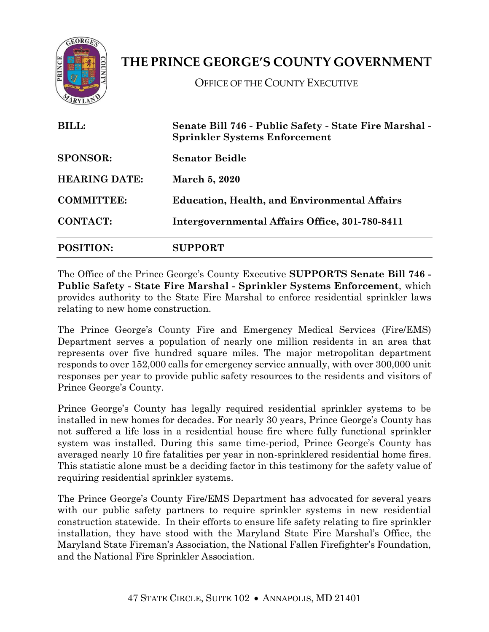

## **THE PRINCE GEORGE'S COUNTY GOVERNMENT**

OFFICE OF THE COUNTY EXECUTIVE

| <b>BILL:</b><br><b>SPONSOR:</b><br><b>HEARING DATE:</b><br><b>COMMITTEE:</b> | Senate Bill 746 - Public Safety - State Fire Marshal -<br><b>Sprinkler Systems Enforcement</b><br><b>Senator Beidle</b><br><b>March 5, 2020</b><br><b>Education, Health, and Environmental Affairs</b> |                  |                                                |
|------------------------------------------------------------------------------|--------------------------------------------------------------------------------------------------------------------------------------------------------------------------------------------------------|------------------|------------------------------------------------|
|                                                                              |                                                                                                                                                                                                        | <b>CONTACT:</b>  | Intergovernmental Affairs Office, 301-780-8411 |
|                                                                              |                                                                                                                                                                                                        | <b>POSITION:</b> | SUPPORT                                        |

The Office of the Prince George's County Executive **SUPPORTS Senate Bill 746 - Public Safety - State Fire Marshal - Sprinkler Systems Enforcement**, which provides authority to the State Fire Marshal to enforce residential sprinkler laws relating to new home construction.

The Prince George's County Fire and Emergency Medical Services (Fire/EMS) Department serves a population of nearly one million residents in an area that represents over five hundred square miles. The major metropolitan department responds to over 152,000 calls for emergency service annually, with over 300,000 unit responses per year to provide public safety resources to the residents and visitors of Prince George's County.

Prince George's County has legally required residential sprinkler systems to be installed in new homes for decades. For nearly 30 years, Prince George's County has not suffered a life loss in a residential house fire where fully functional sprinkler system was installed. During this same time-period, Prince George's County has averaged nearly 10 fire fatalities per year in non-sprinklered residential home fires. This statistic alone must be a deciding factor in this testimony for the safety value of requiring residential sprinkler systems.

The Prince George's County Fire/EMS Department has advocated for several years with our public safety partners to require sprinkler systems in new residential construction statewide. In their efforts to ensure life safety relating to fire sprinkler installation, they have stood with the Maryland State Fire Marshal's Office, the Maryland State Fireman's Association, the National Fallen Firefighter's Foundation, and the National Fire Sprinkler Association.